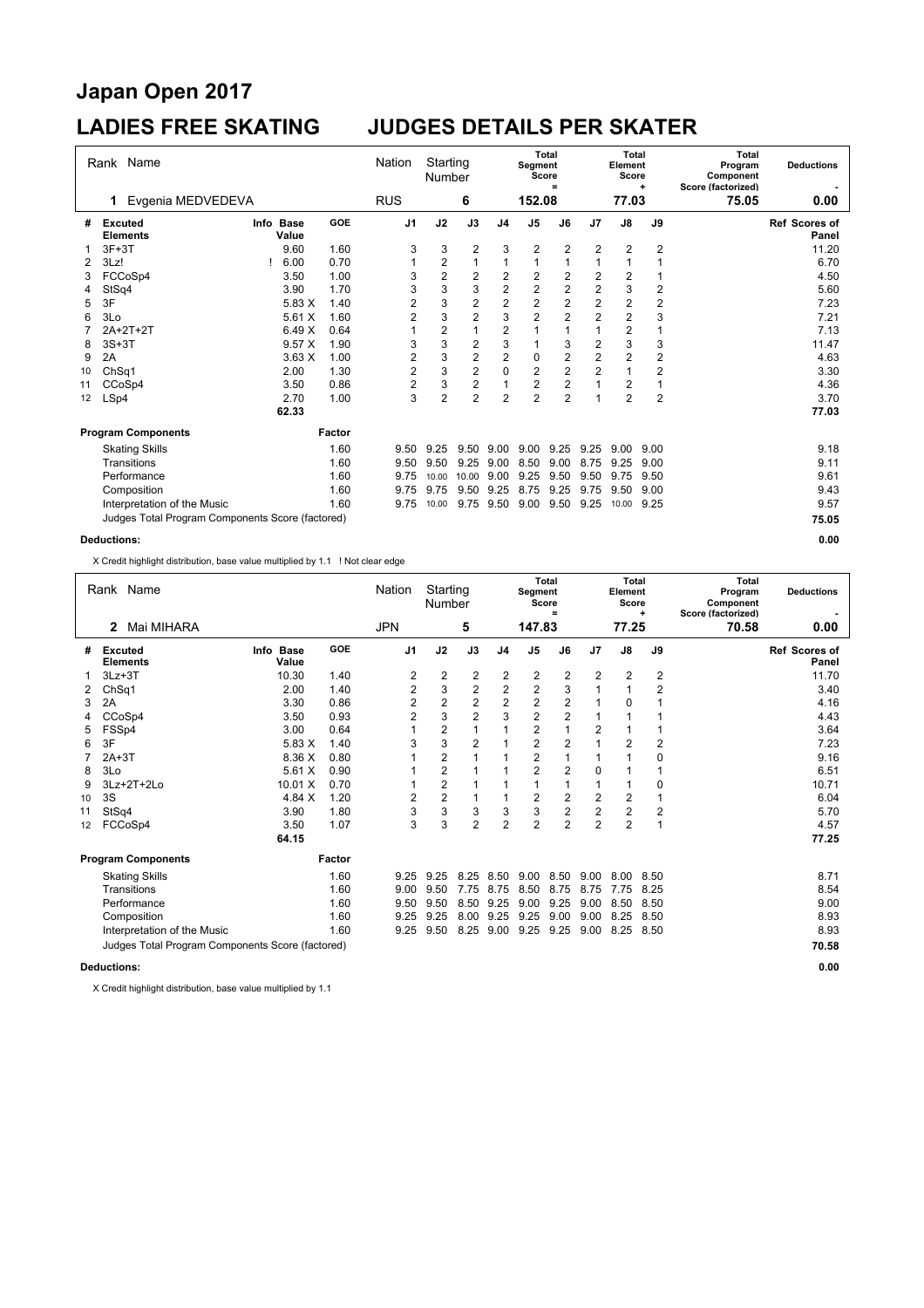# **Japan Open 2017**

### **LADIES FREE SKATING JUDGES DETAILS PER SKATER**

| Rank Name |                                                  |  |                    |        | Starting<br>Nation<br>Number |                |                         | Segment                 | <b>Total</b><br>Score<br>$=$ |                         | <b>Total</b><br>Element<br>Score | ÷              | <b>Total</b><br>Program<br>Component<br>Score (factorized) | <b>Deductions</b> |                               |
|-----------|--------------------------------------------------|--|--------------------|--------|------------------------------|----------------|-------------------------|-------------------------|------------------------------|-------------------------|----------------------------------|----------------|------------------------------------------------------------|-------------------|-------------------------------|
|           | Evgenia MEDVEDEVA<br>1                           |  |                    |        | <b>RUS</b>                   |                | 6                       |                         | 152.08                       |                         |                                  | 77.03          |                                                            | 75.05             | 0.00                          |
| #         | <b>Excuted</b><br><b>Elements</b>                |  | Info Base<br>Value | GOE    | J <sub>1</sub>               | J2             | J3                      | J <sub>4</sub>          | J <sub>5</sub>               | J6                      | J7                               | $\mathsf{J}8$  | J9                                                         |                   | <b>Ref Scores of</b><br>Panel |
|           | $3F+3T$                                          |  | 9.60               | 1.60   | 3                            | 3              | 2                       | 3                       | 2                            | $\overline{2}$          | 2                                | $\overline{c}$ | $\overline{2}$                                             |                   | 11.20                         |
| 2         | 3Lz!                                             |  | 6.00               | 0.70   | 1                            | $\overline{2}$ | 1                       | 1                       | $\mathbf{1}$                 | 1                       | $\mathbf{1}$                     | 1              | 1                                                          |                   | 6.70                          |
| 3         | FCCoSp4                                          |  | 3.50               | 1.00   | 3                            | 2              | 2                       | $\overline{c}$          | $\overline{2}$               | $\overline{2}$          | 2                                | $\overline{c}$ |                                                            |                   | 4.50                          |
| 4         | StSq4                                            |  | 3.90               | 1.70   | 3                            | 3              | 3                       | $\boldsymbol{2}$        | $\boldsymbol{2}$             | $\sqrt{2}$              | $\boldsymbol{2}$                 | $\mathsf 3$    | $\overline{c}$                                             |                   | 5.60                          |
| 5         | 3F                                               |  | 5.83 X             | 1.40   | 2                            | 3              | $\overline{\mathbf{c}}$ | $\overline{\mathbf{c}}$ | $\overline{\mathbf{c}}$      | $\overline{\mathbf{c}}$ | $\overline{c}$                   | $\frac{2}{2}$  | $\boldsymbol{2}$                                           |                   | 7.23                          |
| 6         | 3Lo                                              |  | 5.61X              | 1.60   | $\overline{2}$               | 3              | $\overline{2}$          | 3                       | $\overline{2}$               | $\overline{a}$          | $\overline{2}$                   |                | 3                                                          |                   | 7.21                          |
|           | 2A+2T+2T                                         |  | 6.49X              | 0.64   |                              | $\overline{c}$ |                         | $\overline{2}$          | 1                            | 1                       | $\mathbf{1}$                     | $\overline{2}$ |                                                            |                   | 7.13                          |
| 8         | $3S+3T$                                          |  | 9.57X              | 1.90   | 3                            | 3              | 2                       | 3                       |                              | 3                       | $\overline{\mathbf{c}}$          | 3              | 3                                                          |                   | 11.47                         |
| 9         | 2A                                               |  | 3.63X              | 1.00   | 2                            | 3              | $\overline{\mathbf{c}}$ | $\boldsymbol{2}$        | 0                            | $\overline{c}$          | $\overline{c}$                   | $\overline{c}$ | $\sqrt{2}$                                                 |                   | 4.63                          |
| 10        | Ch <sub>Sq1</sub>                                |  | 2.00               | 1.30   | $\overline{c}$               | 3              | $\overline{2}$          | $\mathbf 0$             | $\overline{2}$               | $\overline{2}$          | $\overline{2}$                   | $\overline{1}$ | $\overline{2}$                                             |                   | 3.30                          |
| 11        | CCoSp4                                           |  | 3.50               | 0.86   | 2                            | 3              | 2                       | 1                       | 2                            | $\overline{2}$          | 1                                | $\overline{c}$ | 1                                                          |                   | 4.36                          |
| 12        | LSp4                                             |  | 2.70               | 1.00   | 3                            | 2              | $\overline{2}$          | $\overline{2}$          | $\overline{2}$               | $\overline{2}$          | 1                                | $\overline{2}$ | $\overline{2}$                                             |                   | 3.70                          |
|           |                                                  |  | 62.33              |        |                              |                |                         |                         |                              |                         |                                  |                |                                                            |                   | 77.03                         |
|           | <b>Program Components</b>                        |  |                    | Factor |                              |                |                         |                         |                              |                         |                                  |                |                                                            |                   |                               |
|           | <b>Skating Skills</b>                            |  |                    | 1.60   | 9.50                         | 9.25           | 9.50                    | 9.00                    | 9.00                         | 9.25                    | 9.25                             | 9.00           | 9.00                                                       |                   | 9.18                          |
|           | Transitions                                      |  |                    | 1.60   | 9.50                         | 9.50           | 9.25                    | 9.00                    | 8.50                         | 9.00                    | 8.75                             | 9.25           | 9.00                                                       |                   | 9.11                          |
|           | Performance                                      |  |                    | 1.60   | 9.75                         | 10.00          | 10.00                   | 9.00                    | 9.25                         | 9.50                    | 9.50                             | 9.75           | 9.50                                                       |                   | 9.61                          |
|           | Composition                                      |  |                    | 1.60   | 9.75                         | 9.75           | 9.50                    | 9.25                    | 8.75                         | 9.25                    | 9.75                             | 9.50           | 9.00                                                       |                   | 9.43                          |
|           | Interpretation of the Music                      |  |                    | 1.60   | 9.75                         | 10.00          | 9.75                    | 9.50                    | 9.00                         | 9.50                    | 9.25                             | 10.00          | 9.25                                                       |                   | 9.57                          |
|           | Judges Total Program Components Score (factored) |  |                    |        |                              |                |                         |                         |                              |                         |                                  |                |                                                            |                   | 75.05                         |
|           | <b>Deductions:</b>                               |  |                    |        |                              |                |                         |                         |                              |                         |                                  |                |                                                            |                   | 0.00                          |

X Credit highlight distribution, base value multiplied by 1.1 ! Not clear edge

| Rank Name      |                                                  |                    |            | Nation         |                | Starting<br>Number      |                | Segment                 | Total<br>Score<br>$=$ | <b>Total</b><br>Element<br>Score<br>÷ |                |                         | <b>Total</b><br>Program<br>Component<br>Score (factorized) | <b>Deductions</b>      |
|----------------|--------------------------------------------------|--------------------|------------|----------------|----------------|-------------------------|----------------|-------------------------|-----------------------|---------------------------------------|----------------|-------------------------|------------------------------------------------------------|------------------------|
|                | Mai MIHARA<br>2                                  |                    |            | <b>JPN</b>     | 5              |                         | 147.83         |                         |                       |                                       | 77.25          |                         | 70.58                                                      | 0.00                   |
| #              | Excuted<br><b>Elements</b>                       | Info Base<br>Value | <b>GOE</b> | J1             | J2             | J3                      | J4             | J <sub>5</sub>          | J6                    | J7                                    | J8             | J9                      |                                                            | Ref Scores of<br>Panel |
|                | $3Lz + 3T$                                       | 10.30              | 1.40       | 2              | 2              | $\overline{\mathbf{c}}$ | 2              | 2                       | 2                     | 2                                     | 2              | $\overline{\mathbf{c}}$ |                                                            | 11.70                  |
| $\overline{2}$ | ChSq1                                            | 2.00               | 1.40       | 2              | 3              | $\overline{c}$          | $\overline{2}$ | $\overline{\mathbf{c}}$ | 3                     |                                       |                | $\overline{2}$          |                                                            | 3.40                   |
| 3              | 2A                                               | 3.30               | 0.86       | $\overline{2}$ | $\overline{c}$ | $\overline{2}$          | 2              | $\overline{2}$          | $\overline{2}$        |                                       | 0              |                         |                                                            | 4.16                   |
| 4              | CCoSp4                                           | 3.50               | 0.93       | $\overline{2}$ | 3              | $\overline{2}$          | 3              | $\overline{2}$          | 2                     |                                       |                |                         |                                                            | 4.43                   |
| 5              | FSSp4                                            | 3.00               | 0.64       |                | 2              |                         |                | 2                       |                       | 2                                     |                |                         |                                                            | 3.64                   |
| 6              | 3F                                               | 5.83 X             | 1.40       | 3              | 3              | 2                       |                | 2                       | 2                     |                                       | 2              | $\overline{2}$          |                                                            | 7.23                   |
| 7              | $2A+3T$                                          | 8.36 X             | 0.80       |                | 2              |                         |                | 2                       |                       |                                       |                | 0                       |                                                            | 9.16                   |
| 8              | 3Lo                                              | 5.61X              | 0.90       |                | $\overline{2}$ |                         |                | $\overline{2}$          | $\overline{2}$        | $\Omega$                              |                |                         |                                                            | 6.51                   |
| 9              | 3Lz+2T+2Lo                                       | 10.01 X            | 0.70       |                | 2              |                         |                |                         |                       |                                       |                | 0                       |                                                            | 10.71                  |
| 10             | 3S                                               | 4.84 X             | 1.20       | 2              | 2              |                         |                | 2                       | 2                     | 2                                     | 2              |                         |                                                            | 6.04                   |
| 11             | StSq4                                            | 3.90               | 1.80       | 3              | 3              | 3                       | 3              | 3                       | 2                     | $\overline{c}$                        | 2              | 2                       |                                                            | 5.70                   |
| 12             | FCCoSp4                                          | 3.50               | 1.07       | 3              | 3              | $\overline{2}$          | $\overline{2}$ | $\overline{2}$          | $\overline{2}$        | $\overline{2}$                        | $\overline{2}$ | $\overline{1}$          |                                                            | 4.57                   |
|                |                                                  | 64.15              |            |                |                |                         |                |                         |                       |                                       |                |                         |                                                            | 77.25                  |
|                | <b>Program Components</b>                        |                    | Factor     |                |                |                         |                |                         |                       |                                       |                |                         |                                                            |                        |
|                | <b>Skating Skills</b>                            |                    | 1.60       | 9.25           | 9.25           | 8.25                    | 8.50           | 9.00                    | 8.50                  | 9.00                                  | 8.00           | 8.50                    |                                                            | 8.71                   |
|                | Transitions                                      |                    | 1.60       | 9.00           | 9.50           | 7.75                    | 8.75           | 8.50                    | 8.75                  | 8.75                                  | 7.75           | 8.25                    |                                                            | 8.54                   |
|                | Performance                                      |                    | 1.60       | 9.50           | 9.50           | 8.50                    | 9.25           | 9.00                    | 9.25                  | 9.00                                  | 8.50           | 8.50                    |                                                            | 9.00                   |
|                | Composition                                      |                    | 1.60       | 9.25           | 9.25           | 8.00 9.25               |                | 9.25                    | 9.00                  | 9.00                                  | 8.25           | 8.50                    |                                                            | 8.93                   |
|                | Interpretation of the Music                      |                    | 1.60       | 9.25           | 9.50           | 8.25                    | 9.00           | 9.25                    | 9.25                  | 9.00                                  | 8.25           | 8.50                    |                                                            | 8.93                   |
|                | Judges Total Program Components Score (factored) |                    |            |                |                |                         |                |                         |                       |                                       |                | 70.58                   |                                                            |                        |
|                | <b>Deductions:</b>                               |                    |            |                |                |                         |                |                         |                       |                                       |                |                         |                                                            | 0.00                   |

X Credit highlight distribution, base value multiplied by 1.1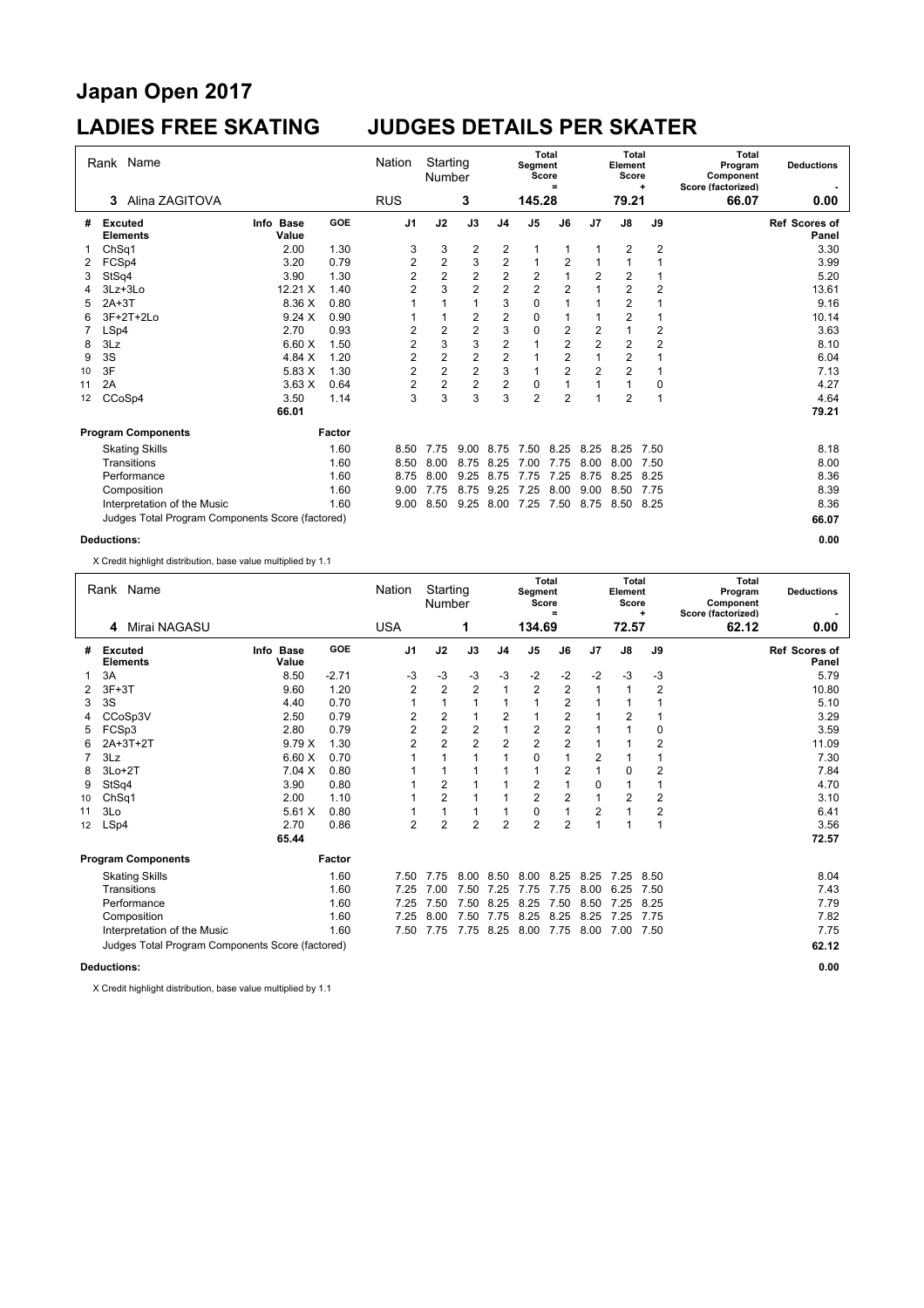# **Japan Open 2017**

### **LADIES FREE SKATING JUDGES DETAILS PER SKATER**

| Rank Name          |                                                  |                    | Nation     | Starting<br>Segment<br>Number<br>Score |                |                |                  | <b>Total</b><br>$=$ |                | <b>Total</b><br>Element<br>Score | ٠              | <b>Total</b><br>Program<br>Component<br>Score (factorized) | <b>Deductions</b> |                               |
|--------------------|--------------------------------------------------|--------------------|------------|----------------------------------------|----------------|----------------|------------------|---------------------|----------------|----------------------------------|----------------|------------------------------------------------------------|-------------------|-------------------------------|
|                    | Alina ZAGITOVA<br>3                              |                    |            | <b>RUS</b>                             |                | 3              |                  | 145.28              |                |                                  | 79.21          |                                                            | 66.07             | 0.00                          |
| #                  | <b>Excuted</b><br><b>Elements</b>                | Info Base<br>Value | <b>GOE</b> | J <sub>1</sub>                         | J2             | J3             | J <sub>4</sub>   | J <sub>5</sub>      | J6             | J7                               | $\mathsf{J}8$  | J9                                                         |                   | <b>Ref Scores of</b><br>Panel |
|                    | Ch <sub>Sq1</sub>                                | 2.00               | 1.30       | 3                                      | 3              | 2              | $\overline{c}$   |                     |                |                                  | 2              | $\overline{2}$                                             |                   | 3.30                          |
| 2                  | FCSp4                                            | 3.20               | 0.79       | $\overline{\mathbf{c}}$                | $\sqrt{2}$     | 3              | $\boldsymbol{2}$ | 1                   | $\overline{2}$ | 1                                | 1              | 1                                                          |                   | 3.99                          |
| 3                  | StSq4                                            | 3.90               | 1.30       | $\overline{2}$                         | $\overline{2}$ | $\overline{2}$ | $\overline{2}$   | $\overline{2}$      | $\overline{1}$ | $\overline{2}$                   | $\overline{2}$ |                                                            |                   | 5.20                          |
| 4                  | $3Lz + 3Lo$                                      | 12.21 X            | 1.40       | $\overline{2}$                         | 3              | $\overline{2}$ | $\overline{2}$   | $\overline{2}$      | $\overline{2}$ | $\mathbf{1}$                     | $\overline{2}$ | $\overline{2}$                                             |                   | 13.61                         |
| 5                  | $2A+3T$                                          | 8.36 X             | 0.80       |                                        | 1              | 1              | 3                | $\mathbf 0$         | 1              | 1                                | 2              |                                                            |                   | 9.16                          |
| 6                  | 3F+2T+2Lo                                        | 9.24X              | 0.90       |                                        | 1              | 2              | $\sqrt{2}$       | $\mathbf 0$         | 1              | 1                                | $\overline{c}$ |                                                            |                   | 10.14                         |
|                    | LSp4                                             | 2.70               | 0.93       | 2                                      | $\overline{2}$ | $\overline{2}$ | 3                | $\mathbf 0$         | $\overline{2}$ | $\boldsymbol{2}$                 | $\overline{1}$ | $\boldsymbol{2}$                                           |                   | 3.63                          |
| 8                  | 3Lz                                              | 6.60X              | 1.50       | $\overline{2}$                         | 3              | 3              | $\overline{2}$   | 1                   | $\overline{2}$ | $\overline{2}$                   | $\overline{2}$ | $\overline{2}$                                             |                   | 8.10                          |
| 9                  | 3S                                               | 4.84 X             | 1.20       | $\overline{2}$                         | $\overline{2}$ | $\overline{2}$ | $\overline{2}$   | 1                   | $\overline{2}$ | $\overline{1}$                   | $\overline{2}$ |                                                            |                   | 6.04                          |
| 10                 | 3F                                               | 5.83 X             | 1.30       | $\overline{2}$                         | $\overline{2}$ | $\overline{2}$ | 3                | $\mathbf{1}$        | $\overline{2}$ | $\overline{2}$                   | $\overline{2}$ | 1                                                          |                   | 7.13                          |
| 11                 | 2A                                               | 3.63X              | 0.64       | $\overline{2}$                         | $\overline{2}$ | $\overline{2}$ | $\overline{2}$   | $\mathbf 0$         |                | 1                                | 1              | 0                                                          |                   | 4.27                          |
| 12                 | CCoSp4                                           | 3.50               | 1.14       | 3                                      | 3              | 3              | 3                | $\overline{2}$      | $\overline{2}$ | 1                                | $\overline{2}$ | $\overline{\phantom{a}}$                                   |                   | 4.64                          |
|                    |                                                  | 66.01              |            |                                        |                |                |                  |                     |                |                                  |                |                                                            |                   | 79.21                         |
|                    | <b>Program Components</b>                        |                    | Factor     |                                        |                |                |                  |                     |                |                                  |                |                                                            |                   |                               |
|                    | <b>Skating Skills</b>                            |                    | 1.60       | 8.50                                   | 7.75           | 9.00           | 8.75             | 7.50                | 8.25           | 8.25                             | 8.25           | 7.50                                                       |                   | 8.18                          |
|                    | Transitions                                      |                    | 1.60       | 8.50                                   | 8.00           | 8.75           | 8.25             | 7.00                | 7.75           | 8.00                             | 8.00           | 7.50                                                       |                   | 8.00                          |
|                    | Performance                                      |                    | 1.60       | 8.75                                   | 8.00           | 9.25           | 8.75             | 7.75                | 7.25           | 8.75                             | 8.25           | 8.25                                                       |                   | 8.36                          |
|                    | Composition                                      |                    | 1.60       | 9.00                                   | 7.75           | 8.75           | 9.25             | 7.25                | 8.00           | 9.00                             | 8.50           | 7.75                                                       |                   | 8.39                          |
|                    | Interpretation of the Music                      |                    | 1.60       | 9.00                                   | 8.50           | 9.25           | 8.00             | 7.25                | 7.50           | 8.75                             | 8.50           | 8.25                                                       |                   | 8.36                          |
|                    | Judges Total Program Components Score (factored) |                    |            |                                        |                |                |                  |                     |                |                                  |                |                                                            |                   | 66.07                         |
| <b>Deductions:</b> |                                                  |                    |            |                                        |                |                |                  |                     |                |                                  |                | 0.00                                                       |                   |                               |

X Credit highlight distribution, base value multiplied by 1.1

| Rank Name |                                                  |                    | Nation<br>Starting<br>Number |                |                |                | Segment        | <b>Total</b><br>Score<br>$=$ |                | <b>Total</b><br>Element<br>Score | ٠     | <b>Total</b><br>Program<br>Component<br>Score (factorized) | <b>Deductions</b> |                               |
|-----------|--------------------------------------------------|--------------------|------------------------------|----------------|----------------|----------------|----------------|------------------------------|----------------|----------------------------------|-------|------------------------------------------------------------|-------------------|-------------------------------|
|           | Mirai NAGASU<br>4                                |                    |                              | <b>USA</b>     | 1              |                | 134.69         |                              |                |                                  | 72.57 |                                                            | 62.12             | 0.00                          |
| #         | Excuted<br><b>Elements</b>                       | Info Base<br>Value | <b>GOE</b>                   | J <sub>1</sub> | J2             | J3             | J4             | J <sub>5</sub>               | J6             | J7                               | J8    | J9                                                         |                   | <b>Ref Scores of</b><br>Panel |
|           | 3A                                               | 8.50               | $-2.71$                      | $-3$           | $-3$           | $-3$           | $-3$           | $-2$                         | $-2$           | $-2$                             | $-3$  | $-3$                                                       |                   | 5.79                          |
| 2         | $3F+3T$                                          | 9.60               | 1.20                         | $\overline{2}$ | $\overline{2}$ | $\overline{2}$ |                | $\overline{2}$               | 2              |                                  |       | $\overline{2}$                                             |                   | 10.80                         |
| 3         | 3S                                               | 4.40               | 0.70                         |                |                | 1              |                |                              | 2              |                                  |       |                                                            |                   | 5.10                          |
| 4         | CCoSp3V                                          | 2.50               | 0.79                         | 2              | $\overline{c}$ |                | 2              |                              | $\overline{c}$ |                                  | 2     |                                                            |                   | 3.29                          |
| 5         | FCSp3                                            | 2.80               | 0.79                         | 2              | $\overline{2}$ | $\overline{2}$ |                | 2                            | $\overline{c}$ |                                  |       | $\mathbf 0$                                                |                   | 3.59                          |
| 6         | 2A+3T+2T                                         | 9.79X              | 1.30                         | $\overline{2}$ | $\overline{2}$ | $\overline{2}$ | $\overline{2}$ | $\overline{c}$               | $\overline{c}$ |                                  |       | 2                                                          |                   | 11.09                         |
|           | 3Lz                                              | 6.60X              | 0.70                         |                |                |                |                | 0                            |                | 2                                |       |                                                            |                   | 7.30                          |
| 8         | $3Lo+2T$                                         | 7.04 X             | 0.80                         |                |                |                |                |                              | $\overline{2}$ |                                  | 0     | $\overline{2}$                                             |                   | 7.84                          |
| 9         | StSq4                                            | 3.90               | 0.80                         |                | 2              |                |                | 2                            |                | 0                                |       |                                                            |                   | 4.70                          |
| 10        | Ch <sub>Sq1</sub>                                | 2.00               | 1.10                         |                | $\overline{2}$ | 1              |                | $\overline{c}$               | 2              |                                  | 2     | $\overline{c}$                                             |                   | 3.10                          |
| 11        | 3Lo                                              | 5.61X              | 0.80                         |                |                | 1              |                | 0                            |                | 2                                |       | 2                                                          |                   | 6.41                          |
| 12        | LSp4                                             | 2.70               | 0.86                         | $\overline{2}$ | $\overline{2}$ | $\overline{2}$ | $\overline{2}$ | $\overline{2}$               | $\overline{2}$ | 1                                |       | 1                                                          |                   | 3.56                          |
|           |                                                  | 65.44              |                              |                |                |                |                |                              |                |                                  |       |                                                            |                   | 72.57                         |
|           | <b>Program Components</b>                        |                    | Factor                       |                |                |                |                |                              |                |                                  |       |                                                            |                   |                               |
|           | <b>Skating Skills</b>                            |                    | 1.60                         | 7.50           | 7.75           | 8.00           | 8.50           | 8.00                         | 8.25           | 8.25                             | 7.25  | 8.50                                                       |                   | 8.04                          |
|           | Transitions                                      |                    | 1.60                         | 7.25           | 7.00           | 7.50           | 7.25           | 7.75                         | 7.75           | 8.00                             | 6.25  | 7.50                                                       |                   | 7.43                          |
|           | Performance                                      |                    | 1.60                         | 7.25           | 7.50           | 7.50           | 8.25           | 8.25                         | 7.50           | 8.50                             | 7.25  | 8.25                                                       |                   | 7.79                          |
|           | Composition                                      |                    | 1.60                         | 7.25           | 8.00           | 7.50           | 7.75           | 8.25                         | 8.25           | 8.25                             | 7.25  | 7.75                                                       |                   | 7.82                          |
|           | Interpretation of the Music                      |                    | 1.60                         | 7.50           | 7.75           | 7.75           | 8.25           | 8.00                         | 7.75           | 8.00                             | 7.00  | 7.50                                                       |                   | 7.75                          |
|           | Judges Total Program Components Score (factored) |                    |                              |                |                |                |                |                              |                |                                  |       |                                                            | 62.12             |                               |
|           | <b>Deductions:</b>                               |                    |                              |                |                |                |                |                              |                |                                  |       |                                                            |                   | 0.00                          |

X Credit highlight distribution, base value multiplied by 1.1